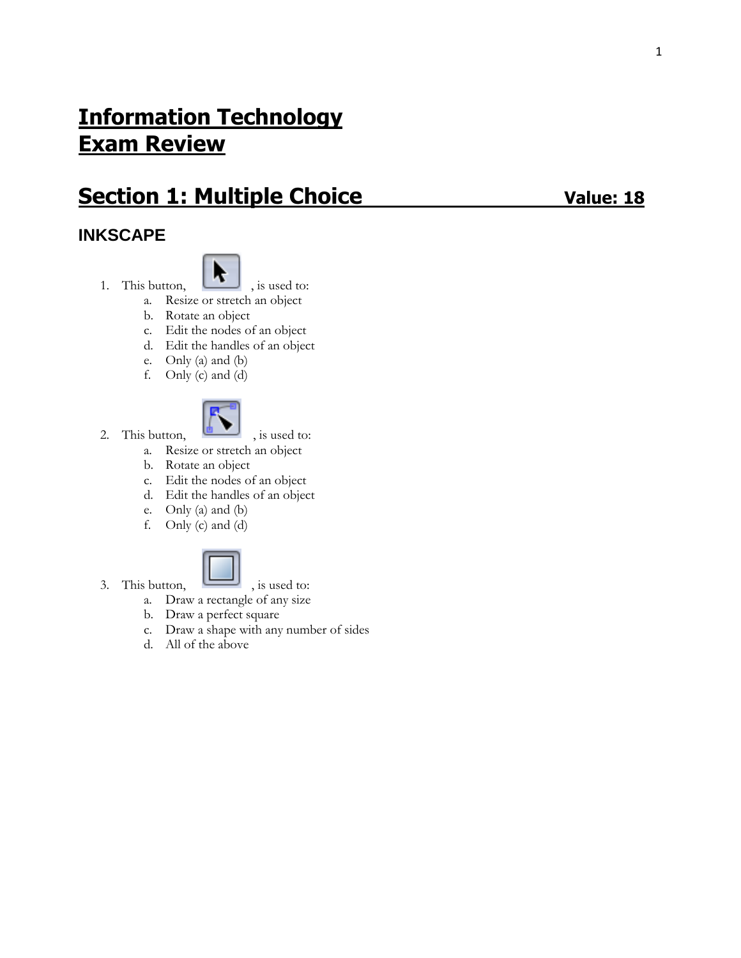# **Information Technology Exam Review**

# **Section 1: Multiple Choice Value: 18**

## **INKSCAPE**



- 1. This button,  $\begin{array}{|c|c|} \hline \ \bullet \end{array}$ , is used to:
	- a. Resize or stretch an object
	- b. Rotate an object
	- c. Edit the nodes of an object
	- d. Edit the handles of an object
	- e. Only (a) and (b)
	- f. Only (c) and (d)



2. This button,  $\begin{array}{|c|c|} \hline \end{array}$ , is used to:

- a. Resize or stretch an object
- b. Rotate an object
- c. Edit the nodes of an object
- d. Edit the handles of an object
- e. Only (a) and (b)
- f. Only (c) and (d)



- 3. This button,  $\Box$ , is used to:
	-
	- a. Draw a rectangle of any size
	- b. Draw a perfect square
	- c. Draw a shape with any number of sides
	- d. All of the above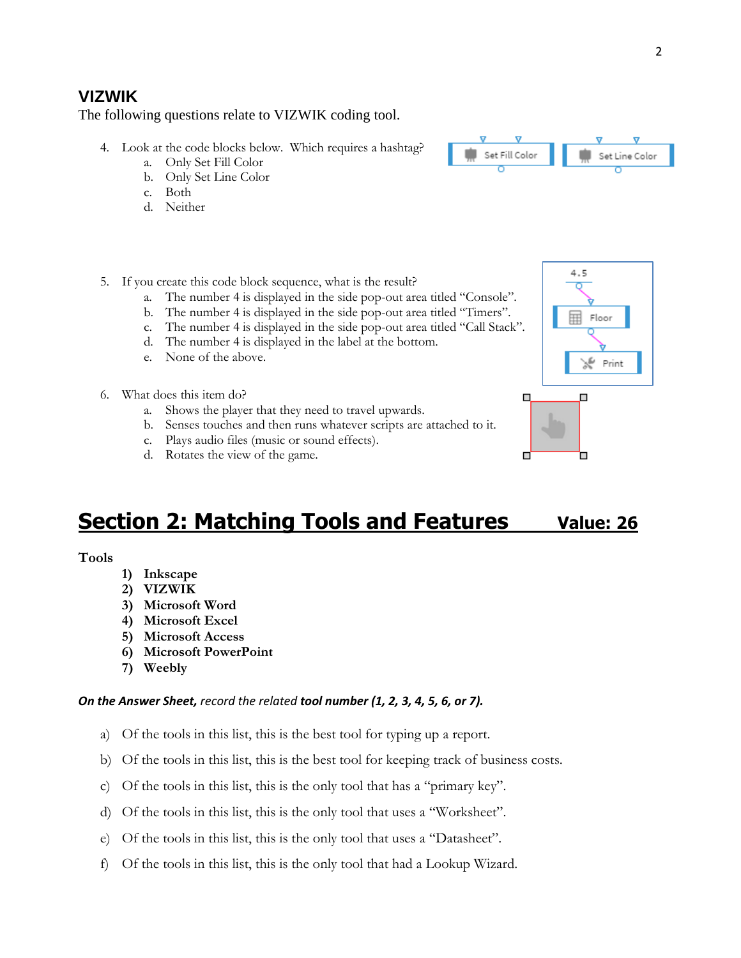### **VIZWIK**

The following questions relate to VIZWIK coding tool.

- 4. Look at the code blocks below. Which requires a hashtag?
	- a. Only Set Fill Color
	- b. Only Set Line Color
	- c. Both
	- d. Neither



- 5. If you create this code block sequence, what is the result?
	- a. The number 4 is displayed in the side pop-out area titled "Console".
	- b. The number 4 is displayed in the side pop-out area titled "Timers".
	- c. The number 4 is displayed in the side pop-out area titled "Call Stack".
	- d. The number 4 is displayed in the label at the bottom.
	- e. None of the above.
- 6. What does this item do?
	- a. Shows the player that they need to travel upwards.
	- b. Senses touches and then runs whatever scripts are attached to it.
	- c. Plays audio files (music or sound effects).
	- d. Rotates the view of the game.



Ò

 $\Box$ 

# **<u>Section 2: Matching Tools and Features value: 26</u>**

### **Tools**

- **1) Inkscape**
- **2) VIZWIK**
- **3) Microsoft Word**
- **4) Microsoft Excel**
- **5) Microsoft Access**
- **6) Microsoft PowerPoint**
- **7) Weebly**

### *On the Answer Sheet, record the related tool number (1, 2, 3, 4, 5, 6, or 7).*

- a) Of the tools in this list, this is the best tool for typing up a report.
- b) Of the tools in this list, this is the best tool for keeping track of business costs.
- c) Of the tools in this list, this is the only tool that has a "primary key".
- d) Of the tools in this list, this is the only tool that uses a "Worksheet".
- e) Of the tools in this list, this is the only tool that uses a "Datasheet".
- f) Of the tools in this list, this is the only tool that had a Lookup Wizard.